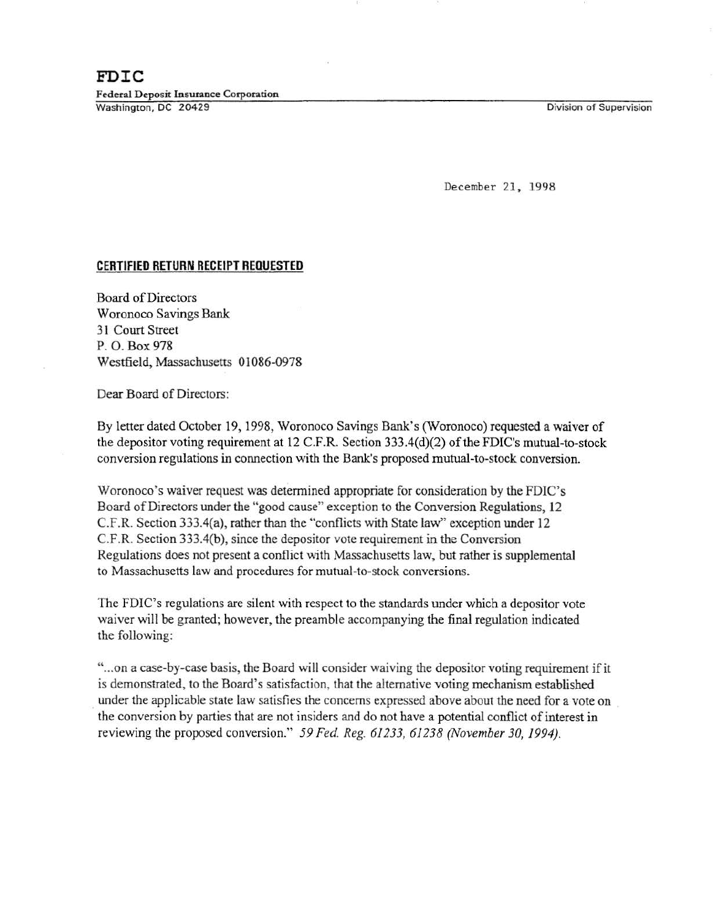Division of Supervision

December 21, 1998

## **CERTIFIED RETURN RECEIPT REQUESTED**

Board of Directors Woronoco Savings Bank 31 Court Street P. 0. Box 978 Westfield, Massachusetts 01086-0978

Dear Board of Directors:

By letter dated October 19, 1998, Woronoco Savings Bank's (Woronoco) requested a waiver of the depositor voting requirement at 12 C.F.R. Section  $333.4(d)(2)$  of the FDIC's mutual-to-stock conversion regulations in connection with the Bank's proposed mutual-to-stock conversion.

Woronoco's waiver request was determined appropriate for consideration by the FDIC's Board of Directors under the "good cause" exception to the Conversion Regulations, 12 C.F.R. Section 333.4(a), rather than the "conflicts with State law" exception under 12 C.F.R. Section 333.4(b), since the depositor vote requirement in the Conversion Regulations does not present a conflict with Massachusetts law, but rather is supplemental to Massachusetts law and procedures for mutual-to-stock conversions.

The FDIC's regulations are silent with respect to the standards under which a depositor vote waiver will be granted; however, the preamble accompanying the final regulation indicated the following:

"... on a case-by-case basis, the Board will consider waiving the depositor voting requirement if it is demonstrated, to the Board's satisfaction, that the alternative voting mechanism established . under the applicable state Jaw satisfies the concerns expressed above about the need for a vote on . the conversion by parties that are not insiders and do not have a potential conflict of interest in reviewing the proposed conversion." *59 Fed. Reg. 61233, 61238 (November 30, 1994).*